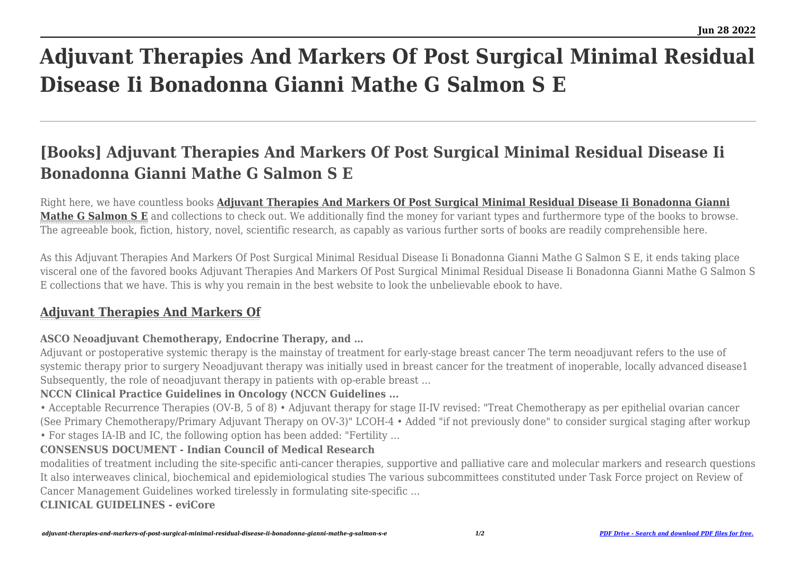# **Adjuvant Therapies And Markers Of Post Surgical Minimal Residual Disease Ii Bonadonna Gianni Mathe G Salmon S E**

## **[Books] Adjuvant Therapies And Markers Of Post Surgical Minimal Residual Disease Ii Bonadonna Gianni Mathe G Salmon S E**

Right here, we have countless books **[Adjuvant Therapies And Markers Of Post Surgical Minimal Residual Disease Ii Bonadonna Gianni](https://uniport.edu.ng) [Mathe G Salmon S E](https://uniport.edu.ng)** and collections to check out. We additionally find the money for variant types and furthermore type of the books to browse. The agreeable book, fiction, history, novel, scientific research, as capably as various further sorts of books are readily comprehensible here.

As this Adjuvant Therapies And Markers Of Post Surgical Minimal Residual Disease Ii Bonadonna Gianni Mathe G Salmon S E, it ends taking place visceral one of the favored books Adjuvant Therapies And Markers Of Post Surgical Minimal Residual Disease Ii Bonadonna Gianni Mathe G Salmon S E collections that we have. This is why you remain in the best website to look the unbelievable ebook to have.

### **[Adjuvant Therapies And Markers Of](https://uniport.edu.ng/adjuvant-therapies-and-markers-of-post-surgical-minimal-residual-disease-ii-bonadonna-gianni-mathe-g-salmon-s-e.pdf)**

#### **ASCO Neoadjuvant Chemotherapy, Endocrine Therapy, and …**

Adjuvant or postoperative systemic therapy is the mainstay of treatment for early-stage breast cancer The term neoadjuvant refers to the use of systemic therapy prior to surgery Neoadjuvant therapy was initially used in breast cancer for the treatment of inoperable, locally advanced disease1 Subsequently, the role of neoadjuvant therapy in patients with op-erable breast …

#### **NCCN Clinical Practice Guidelines in Oncology (NCCN Guidelines ...**

• Acceptable Recurrence Therapies (OV-B, 5 of 8) • Adjuvant therapy for stage II-IV revised: "Treat Chemotherapy as per epithelial ovarian cancer (See Primary Chemotherapy/Primary Adjuvant Therapy on OV-3)" LCOH-4 • Added "if not previously done" to consider surgical staging after workup

• For stages IA-IB and IC, the following option has been added: "Fertility …

#### **CONSENSUS DOCUMENT - Indian Council of Medical Research**

modalities of treatment including the site-specific anti-cancer therapies, supportive and palliative care and molecular markers and research questions It also interweaves clinical, biochemical and epidemiological studies The various subcommittees constituted under Task Force project on Review of Cancer Management Guidelines worked tirelessly in formulating site-specific …

**CLINICAL GUIDELINES - eviCore**